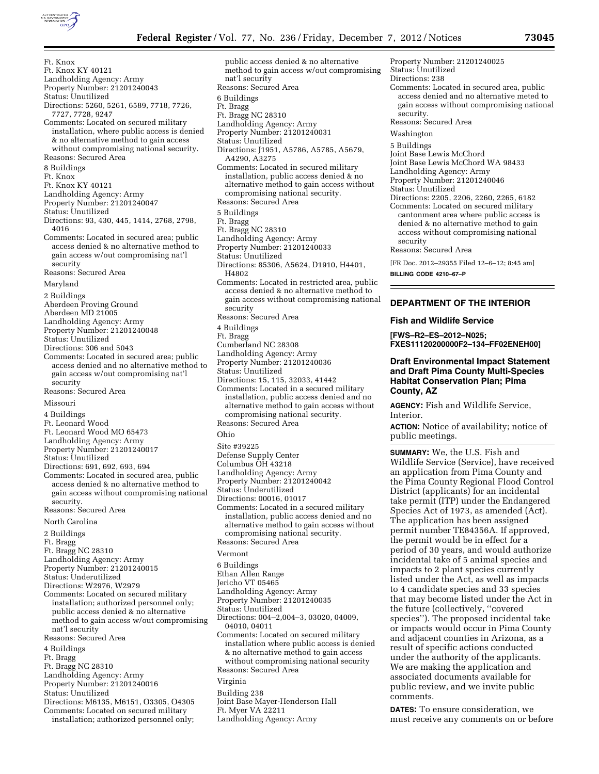

Ft. Knox Ft. Knox KY 40121 Landholding Agency: Army Property Number: 21201240043 Status: Unutilized Directions: 5260, 5261, 6589, 7718, 7726, 7727, 7728, 9247 Comments: Located on secured military installation, where public access is denied & no alternative method to gain access without compromising national security. Reasons: Secured Area 8 Buildings Ft. Knox Ft. Knox KY 40121 Landholding Agency: Army Property Number: 21201240047 Status: Unutilized Directions: 93, 430, 445, 1414, 2768, 2798, 4016 Comments: Located in secured area; public access denied & no alternative method to gain access w/out compromising nat'l security Reasons: Secured Area Maryland 2 Buildings Aberdeen Proving Ground Aberdeen MD 21005 Landholding Agency: Army Property Number: 21201240048 Status: Unutilized Directions: 306 and 5043 Comments: Located in secured area; public access denied and no alternative method to gain access w/out compromising nat'l security Reasons: Secured Area Missouri 4 Buildings Ft. Leonard Wood Ft. Leonard Wood MO 65473 Landholding Agency: Army Property Number: 21201240017 Status: Unutilized Directions: 691, 692, 693, 694 Comments: Located in secured area, public access denied & no alternative method to gain access without compromising national security. Reasons: Secured Area North Carolina 2 Buildings Ft. Bragg Ft. Bragg NC 28310 Landholding Agency: Army Property Number: 21201240015 Status: Underutilized Directions: W2976, W2979 Comments: Located on secured military installation; authorized personnel only; public access denied & no alternative method to gain access w/out compromising nat'l security Reasons: Secured Area 4 Buildings Ft. Bragg Ft. Bragg NC 28310 Landholding Agency: Army Property Number: 21201240016 Status: Unutilized Directions: M6135, M6151, O3305, O4305

Comments: Located on secured military installation; authorized personnel only;

public access denied & no alternative method to gain access w/out compromising nat'l security Reasons: Secured Area 6 Buildings Ft. Bragg Ft. Bragg NC 28310 Landholding Agency: Army Property Number: 21201240031 Status: Unutilized Directions: J1951, A5786, A5785, A5679, A4290, A3275 Comments: Located in secured military installation, public access denied & no alternative method to gain access without compromising national security. Reasons: Secured Area 5 Buildings Ft. Bragg Ft. Bragg NC 28310 Landholding Agency: Army Property Number: 21201240033 Status: Unutilized Directions: 85306, A5624, D1910, H4401, H4802 Comments: Located in restricted area, public access denied & no alternative method to gain access without compromising national security Reasons: Secured Area 4 Buildings Ft. Bragg Cumberland NC 28308 Landholding Agency: Army Property Number: 21201240036 Status: Unutilized Directions: 15, 115, 32033, 41442 Comments: Located in a secured military installation, public access denied and no alternative method to gain access without compromising national security. Reasons: Secured Area Ohio Site #39225 Defense Supply Center Columbus OH 43218 Landholding Agency: Army Property Number: 21201240042 Status: Underutilized Directions: 00016, 01017 Comments: Located in a secured military installation, public access denied and no alternative method to gain access without compromising national security. Reasons: Secured Area Vermont 6 Buildings Ethan Allen Range Jericho VT 05465 Landholding Agency: Army Property Number: 21201240035 Status: Unutilized Directions: 004–2,004–3, 03020, 04009, 04010, 04011 Comments: Located on secured military installation where public access is denied & no alternative method to gain access without compromising national security Reasons: Secured Area Virginia Building 238

Joint Base Mayer-Henderson Hall

Ft. Myer VA 22211 Landholding Agency: Army

Property Number: 21201240025 Status: Unutilized Directions: 238 Comments: Located in secured area, public access denied and no alternative meted to gain access without compromising national security. Reasons: Secured Area Washington 5 Buildings Joint Base Lewis McChord Joint Base Lewis McChord WA 98433 Landholding Agency: Army Property Number: 21201240046 Status: Unutilized

Directions: 2205, 2206, 2260, 2265, 6182 Comments: Located on secured military cantonment area where public access is denied & no alternative method to gain access without compromising national security

Reasons: Secured Area

[FR Doc. 2012–29355 Filed 12–6–12; 8:45 am] **BILLING CODE 4210–67–P** 

# **DEPARTMENT OF THE INTERIOR**

**Fish and Wildlife Service** 

**[FWS–R2–ES–2012–N025; FXES11120200000F2–134–FF02ENEH00]** 

# **Draft Environmental Impact Statement and Draft Pima County Multi-Species Habitat Conservation Plan; Pima County, AZ**

**AGENCY:** Fish and Wildlife Service, Interior.

**ACTION:** Notice of availability; notice of public meetings.

**SUMMARY:** We, the U.S. Fish and Wildlife Service (Service), have received an application from Pima County and the Pima County Regional Flood Control District (applicants) for an incidental take permit (ITP) under the Endangered Species Act of 1973, as amended (Act). The application has been assigned permit number TE84356A. If approved, the permit would be in effect for a period of 30 years, and would authorize incidental take of 5 animal species and impacts to 2 plant species currently listed under the Act, as well as impacts to 4 candidate species and 33 species that may become listed under the Act in the future (collectively, ''covered species''). The proposed incidental take or impacts would occur in Pima County and adjacent counties in Arizona, as a result of specific actions conducted under the authority of the applicants. We are making the application and associated documents available for public review, and we invite public comments.

**DATES:** To ensure consideration, we must receive any comments on or before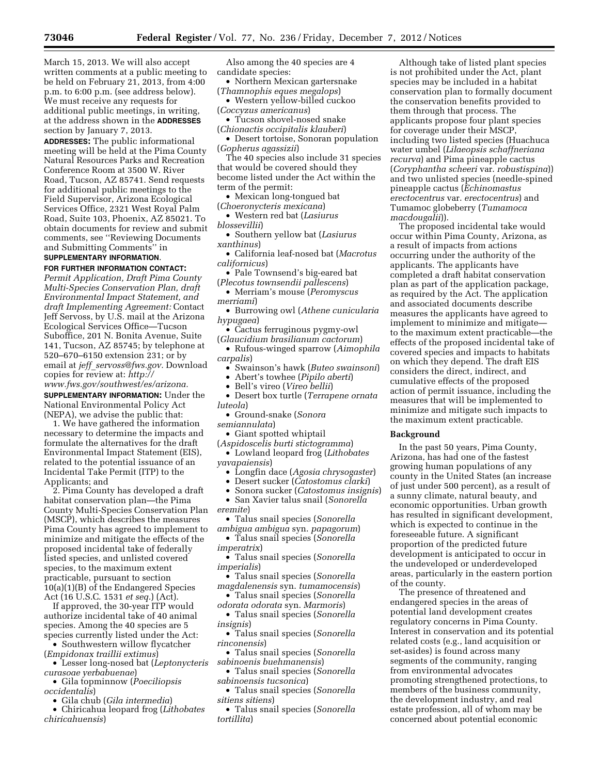March 15, 2013. We will also accept written comments at a public meeting to be held on February 21, 2013, from 4:00 p.m. to 6:00 p.m. (see address below). We must receive any requests for additional public meetings, in writing, at the address shown in the **ADDRESSES** section by January 7, 2013.

**ADDRESSES:** The public informational meeting will be held at the Pima County Natural Resources Parks and Recreation Conference Room at 3500 W. River Road, Tucson, AZ 85741. Send requests for additional public meetings to the Field Supervisor, Arizona Ecological Services Office, 2321 West Royal Palm Road, Suite 103, Phoenix, AZ 85021. To obtain documents for review and submit comments, see ''Reviewing Documents and Submitting Comments'' in **SUPPLEMENTARY INFORMATION**.

### **FOR FURTHER INFORMATION CONTACT:**

*Permit Application, Draft Pima County Multi-Species Conservation Plan, draft Environmental Impact Statement, and draft Implementing Agreement:* Contact Jeff Servoss, by U.S. mail at the Arizona Ecological Services Office—Tucson Suboffice, 201 N. Bonita Avenue, Suite 141, Tucson, AZ 85745; by telephone at 520–670–6150 extension 231; or by email at *jeff*\_*[servoss@fws.gov.](mailto:jeff_servoss@fws.gov)* Download copies for review at: *[http://](http://www.fws.gov/southwest/es/arizona) [www.fws.gov/southwest/es/arizona.](http://www.fws.gov/southwest/es/arizona)* 

**SUPPLEMENTARY INFORMATION:** Under the National Environmental Policy Act (NEPA), we advise the public that:

1. We have gathered the information necessary to determine the impacts and formulate the alternatives for the draft Environmental Impact Statement (EIS), related to the potential issuance of an Incidental Take Permit (ITP) to the Applicants; and

2. Pima County has developed a draft habitat conservation plan—the Pima County Multi-Species Conservation Plan (MSCP), which describes the measures Pima County has agreed to implement to minimize and mitigate the effects of the proposed incidental take of federally listed species, and unlisted covered species, to the maximum extent practicable, pursuant to section 10(a)(1)(B) of the Endangered Species Act (16 U.S.C. 1531 *et seq.*) (Act).

If approved, the 30-year ITP would authorize incidental take of 40 animal species. Among the 40 species are 5 species currently listed under the Act:

• Southwestern willow flycatcher (*Empidonax traillii extimus*)

• Lesser long-nosed bat (*Leptonycteris curasoae yerbabuenae*)

- Gila topminnow (*Poeciliopsis occidentalis*)
- Gila chub (*Gila intermedia*)
- Chiricahua leopard frog (*Lithobates chiricahuensis*)

Also among the 40 species are 4 candidate species:

- Northern Mexican gartersnake (*Thamnophis eques megalops*)
- Western yellow-billed cuckoo (*Coccyzus americanus*)
- Tucson shovel-nosed snake
- (*Chionactis occipitalis klauberi*)
- Desert tortoise, Sonoran population (*Gopherus agassizii*)
- The 40 species also include 31 species that would be covered should they become listed under the Act within the term of the permit:
- Mexican long-tongued bat
- (*Choeronycteris mexicana*)
- Western red bat (*Lasiurus*
- *blossevillii*)
- Southern yellow bat (*Lasiurus xanthinus*)
- California leaf-nosed bat (*Macrotus californicus*)
- Pale Townsend's big-eared bat (*Plecotus townsendii pallescens*)
- Merriam's mouse (*Peromyscus merriami*)
- Burrowing owl (*Athene cunicularia hypugaea*)
- Cactus ferruginous pygmy-owl

(*Glaucidium brasilianum cactorum*) • Rufous-winged sparrow (*Aimophila carpalis*)

- Swainson's hawk (*Buteo swainsoni*)
- Abert's towhee (*Pipilo aberti*)
- Bell's vireo (*Vireo bellii*)
- Desert box turtle (*Terrapene ornata luteola*)
	- Ground-snake (*Sonora*
- *semiannulata*)
- Giant spotted whiptail
- (*Aspidoscelis burti stictogramma*) • Lowland leopard frog (*Lithobates*
- *yavapaiensis*)
	- Longfin dace (*Agosia chrysogaster*)
	- Desert sucker (*Catostomus clarki*)
- Sonora sucker (*Catostomus insignis*) • San Xavier talus snail (*Sonorella eremite*)
- Talus snail species (*Sonorella ambigua ambigua* syn. *papagorum*)

• Talus snail species (*Sonorella imperatrix*)

- Talus snail species (*Sonorella imperialis*)
- Talus snail species (*Sonorella magdalenensis* syn. *tumamocensis*)
- Talus snail species (*Sonorella*
- *odorata odorata* syn. *Marmoris*) • Talus snail species (*Sonorella*
- *insignis*)
- Talus snail species (*Sonorella rinconensis*)
- Talus snail species (*Sonorella sabinoenis buehmanensis*)
- Talus snail species (*Sonorella sabinoensis tucsonica*)
- Talus snail species (*Sonorella sitiens sitiens*)
- Talus snail species (*Sonorella tortillita*)

Although take of listed plant species is not prohibited under the Act, plant species may be included in a habitat conservation plan to formally document the conservation benefits provided to them through that process. The applicants propose four plant species for coverage under their MSCP, including two listed species (Huachuca water umbel (*Lilaeopsis schaffneriana recurva*) and Pima pineapple cactus (*Coryphantha scheeri* var. *robustispina*)) and two unlisted species (needle-spined pineapple cactus (*Echinomastus erectocentrus* var. *erectocentrus*) and Tumamoc globeberry (*Tumamoca macdougalii*)).

The proposed incidental take would occur within Pima County, Arizona, as a result of impacts from actions occurring under the authority of the applicants. The applicants have completed a draft habitat conservation plan as part of the application package, as required by the Act. The application and associated documents describe measures the applicants have agreed to implement to minimize and mitigate to the maximum extent practicable—the effects of the proposed incidental take of covered species and impacts to habitats on which they depend. The draft EIS considers the direct, indirect, and cumulative effects of the proposed action of permit issuance, including the measures that will be implemented to minimize and mitigate such impacts to the maximum extent practicable.

### **Background**

In the past 50 years, Pima County, Arizona, has had one of the fastest growing human populations of any county in the United States (an increase of just under 500 percent), as a result of a sunny climate, natural beauty, and economic opportunities. Urban growth has resulted in significant development, which is expected to continue in the foreseeable future. A significant proportion of the predicted future development is anticipated to occur in the undeveloped or underdeveloped areas, particularly in the eastern portion of the county.

The presence of threatened and endangered species in the areas of potential land development creates regulatory concerns in Pima County. Interest in conservation and its potential related costs (e.g., land acquisition or set-asides) is found across many segments of the community, ranging from environmental advocates promoting strengthened protections, to members of the business community, the development industry, and real estate profession, all of whom may be concerned about potential economic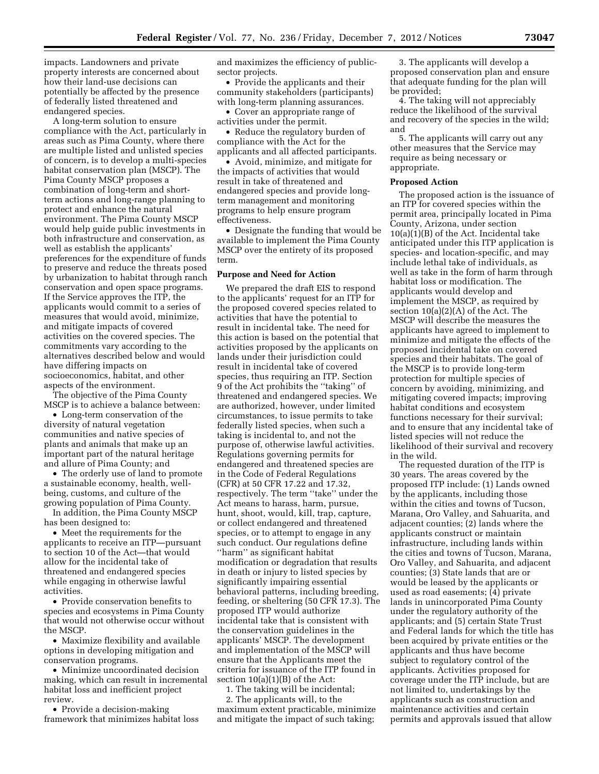impacts. Landowners and private property interests are concerned about how their land-use decisions can potentially be affected by the presence of federally listed threatened and endangered species.

A long-term solution to ensure compliance with the Act, particularly in areas such as Pima County, where there are multiple listed and unlisted species of concern, is to develop a multi-species habitat conservation plan (MSCP). The Pima County MSCP proposes a combination of long-term and shortterm actions and long-range planning to protect and enhance the natural environment. The Pima County MSCP would help guide public investments in both infrastructure and conservation, as well as establish the applicants' preferences for the expenditure of funds to preserve and reduce the threats posed by urbanization to habitat through ranch conservation and open space programs. If the Service approves the ITP, the applicants would commit to a series of measures that would avoid, minimize, and mitigate impacts of covered activities on the covered species. The commitments vary according to the alternatives described below and would have differing impacts on socioeconomics, habitat, and other aspects of the environment.

The objective of the Pima County MSCP is to achieve a balance between:

• Long-term conservation of the diversity of natural vegetation communities and native species of plants and animals that make up an important part of the natural heritage and allure of Pima County; and

• The orderly use of land to promote a sustainable economy, health, wellbeing, customs, and culture of the growing population of Pima County.

In addition, the Pima County MSCP has been designed to:

• Meet the requirements for the applicants to receive an ITP—pursuant to section 10 of the Act—that would allow for the incidental take of threatened and endangered species while engaging in otherwise lawful activities.

• Provide conservation benefits to species and ecosystems in Pima County that would not otherwise occur without the MSCP.

• Maximize flexibility and available options in developing mitigation and conservation programs.

• Minimize uncoordinated decision making, which can result in incremental habitat loss and inefficient project review.

• Provide a decision-making framework that minimizes habitat loss and maximizes the efficiency of publicsector projects.

• Provide the applicants and their community stakeholders (participants) with long-term planning assurances.

• Cover an appropriate range of activities under the permit.

• Reduce the regulatory burden of compliance with the Act for the applicants and all affected participants.

• Avoid, minimize, and mitigate for the impacts of activities that would result in take of threatened and endangered species and provide longterm management and monitoring programs to help ensure program effectiveness.

• Designate the funding that would be available to implement the Pima County MSCP over the entirety of its proposed term.

#### **Purpose and Need for Action**

We prepared the draft EIS to respond to the applicants' request for an ITP for the proposed covered species related to activities that have the potential to result in incidental take. The need for this action is based on the potential that activities proposed by the applicants on lands under their jurisdiction could result in incidental take of covered species, thus requiring an ITP. Section 9 of the Act prohibits the ''taking'' of threatened and endangered species. We are authorized, however, under limited circumstances, to issue permits to take federally listed species, when such a taking is incidental to, and not the purpose of, otherwise lawful activities. Regulations governing permits for endangered and threatened species are in the Code of Federal Regulations (CFR) at 50 CFR 17.22 and 17.32, respectively. The term ''take'' under the Act means to harass, harm, pursue, hunt, shoot, would, kill, trap, capture, or collect endangered and threatened species, or to attempt to engage in any such conduct. Our regulations define ''harm'' as significant habitat modification or degradation that results in death or injury to listed species by significantly impairing essential behavioral patterns, including breeding, feeding, or sheltering (50 CFR 17.3). The proposed ITP would authorize incidental take that is consistent with the conservation guidelines in the applicants' MSCP. The development and implementation of the MSCP will ensure that the Applicants meet the criteria for issuance of the ITP found in section  $10(a)(1)(B)$  of the Act:

1. The taking will be incidental; 2. The applicants will, to the maximum extent practicable, minimize and mitigate the impact of such taking;

3. The applicants will develop a proposed conservation plan and ensure that adequate funding for the plan will be provided;

4. The taking will not appreciably reduce the likelihood of the survival and recovery of the species in the wild; and

5. The applicants will carry out any other measures that the Service may require as being necessary or appropriate.

#### **Proposed Action**

The proposed action is the issuance of an ITP for covered species within the permit area, principally located in Pima County, Arizona, under section 10(a)(1)(B) of the Act. Incidental take anticipated under this ITP application is species- and location-specific, and may include lethal take of individuals, as well as take in the form of harm through habitat loss or modification. The applicants would develop and implement the MSCP, as required by section 10(a)(2)(A) of the Act. The MSCP will describe the measures the applicants have agreed to implement to minimize and mitigate the effects of the proposed incidental take on covered species and their habitats. The goal of the MSCP is to provide long-term protection for multiple species of concern by avoiding, minimizing, and mitigating covered impacts; improving habitat conditions and ecosystem functions necessary for their survival; and to ensure that any incidental take of listed species will not reduce the likelihood of their survival and recovery in the wild.

The requested duration of the ITP is 30 years. The areas covered by the proposed ITP include: (1) Lands owned by the applicants, including those within the cities and towns of Tucson, Marana, Oro Valley, and Sahuarita, and adjacent counties; (2) lands where the applicants construct or maintain infrastructure, including lands within the cities and towns of Tucson, Marana, Oro Valley, and Sahuarita, and adjacent counties; (3) State lands that are or would be leased by the applicants or used as road easements; (4) private lands in unincorporated Pima County under the regulatory authority of the applicants; and (5) certain State Trust and Federal lands for which the title has been acquired by private entities or the applicants and thus have become subject to regulatory control of the applicants. Activities proposed for coverage under the ITP include, but are not limited to, undertakings by the applicants such as construction and maintenance activities and certain permits and approvals issued that allow